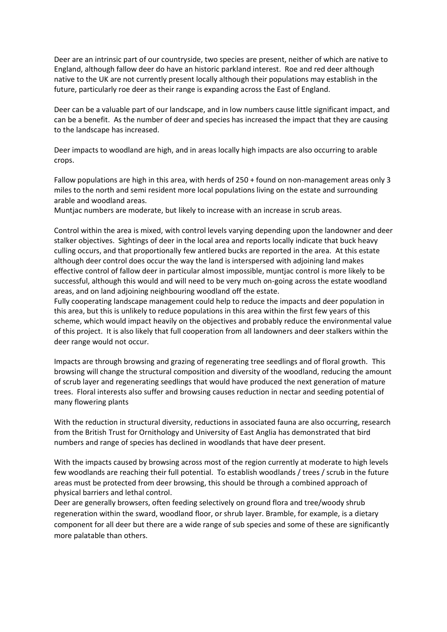Deer are an intrinsic part of our countryside, two species are present, neither of which are native to England, although fallow deer do have an historic parkland interest. Roe and red deer although native to the UK are not currently present locally although their populations may establish in the future, particularly roe deer as their range is expanding across the East of England.

Deer can be a valuable part of our landscape, and in low numbers cause little significant impact, and can be a benefit. As the number of deer and species has increased the impact that they are causing to the landscape has increased.

Deer impacts to woodland are high, and in areas locally high impacts are also occurring to arable crops.

Fallow populations are high in this area, with herds of 250 + found on non-management areas only 3 miles to the north and semi resident more local populations living on the estate and surrounding arable and woodland areas.

Muntjac numbers are moderate, but likely to increase with an increase in scrub areas.

Control within the area is mixed, with control levels varying depending upon the landowner and deer stalker objectives. Sightings of deer in the local area and reports locally indicate that buck heavy culling occurs, and that proportionally few antlered bucks are reported in the area. At this estate although deer control does occur the way the land is interspersed with adjoining land makes effective control of fallow deer in particular almost impossible, muntjac control is more likely to be successful, although this would and will need to be very much on-going across the estate woodland areas, and on land adjoining neighbouring woodland off the estate.

Fully cooperating landscape management could help to reduce the impacts and deer population in this area, but this is unlikely to reduce populations in this area within the first few years of this scheme, which would impact heavily on the objectives and probably reduce the environmental value of this project. It is also likely that full cooperation from all landowners and deer stalkers within the deer range would not occur.

Impacts are through browsing and grazing of regenerating tree seedlings and of floral growth. This browsing will change the structural composition and diversity of the woodland, reducing the amount of scrub layer and regenerating seedlings that would have produced the next generation of mature trees. Floral interests also suffer and browsing causes reduction in nectar and seeding potential of many flowering plants

With the reduction in structural diversity, reductions in associated fauna are also occurring, research from the British Trust for Ornithology and University of East Anglia has demonstrated that bird numbers and range of species has declined in woodlands that have deer present.

With the impacts caused by browsing across most of the region currently at moderate to high levels few woodlands are reaching their full potential. To establish woodlands / trees / scrub in the future areas must be protected from deer browsing, this should be through a combined approach of physical barriers and lethal control.

Deer are generally browsers, often feeding selectively on ground flora and tree/woody shrub regeneration within the sward, woodland floor, or shrub layer. Bramble, for example, is a dietary component for all deer but there are a wide range of sub species and some of these are significantly more palatable than others.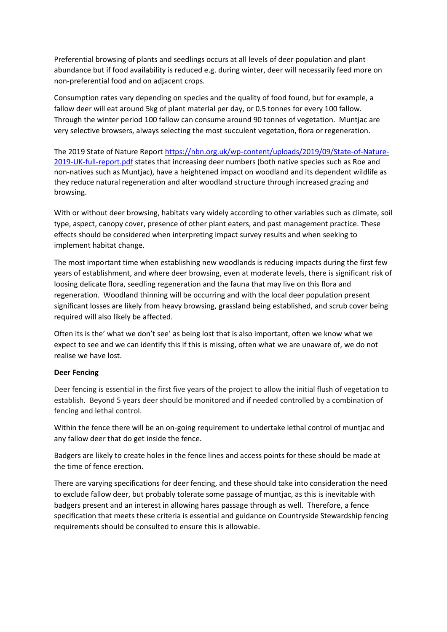Preferential browsing of plants and seedlings occurs at all levels of deer population and plant abundance but if food availability is reduced e.g. during winter, deer will necessarily feed more on non-preferential food and on adjacent crops.

Consumption rates vary depending on species and the quality of food found, but for example, a fallow deer will eat around 5kg of plant material per day, or 0.5 tonnes for every 100 fallow. Through the winter period 100 fallow can consume around 90 tonnes of vegetation. Muntjac are very selective browsers, always selecting the most succulent vegetation, flora or regeneration.

The 2019 State of Nature Report [https://nbn.org.uk/wp-content/uploads/2019/09/State-of-Nature-](https://nbn.org.uk/wp-content/uploads/2019/09/State-of-Nature-2019-UK-full-report.pdf)[2019-UK-full-report.pdf](https://nbn.org.uk/wp-content/uploads/2019/09/State-of-Nature-2019-UK-full-report.pdf) states that increasing deer numbers (both native species such as Roe and non-natives such as Muntjac), have a heightened impact on woodland and its dependent wildlife as they reduce natural regeneration and alter woodland structure through increased grazing and browsing.

With or without deer browsing, habitats vary widely according to other variables such as climate, soil type, aspect, canopy cover, presence of other plant eaters, and past management practice. These effects should be considered when interpreting impact survey results and when seeking to implement habitat change.

The most important time when establishing new woodlands is reducing impacts during the first few years of establishment, and where deer browsing, even at moderate levels, there is significant risk of loosing delicate flora, seedling regeneration and the fauna that may live on this flora and regeneration. Woodland thinning will be occurring and with the local deer population present significant losses are likely from heavy browsing, grassland being established, and scrub cover being required will also likely be affected.

Often its is the' what we don't see' as being lost that is also important, often we know what we expect to see and we can identify this if this is missing, often what we are unaware of, we do not realise we have lost.

## **Deer Fencing**

Deer fencing is essential in the first five years of the project to allow the initial flush of vegetation to establish. Beyond 5 years deer should be monitored and if needed controlled by a combination of fencing and lethal control.

Within the fence there will be an on-going requirement to undertake lethal control of muntjac and any fallow deer that do get inside the fence.

Badgers are likely to create holes in the fence lines and access points for these should be made at the time of fence erection.

There are varying specifications for deer fencing, and these should take into consideration the need to exclude fallow deer, but probably tolerate some passage of muntjac, as this is inevitable with badgers present and an interest in allowing hares passage through as well. Therefore, a fence specification that meets these criteria is essential and guidance on Countryside Stewardship fencing requirements should be consulted to ensure this is allowable.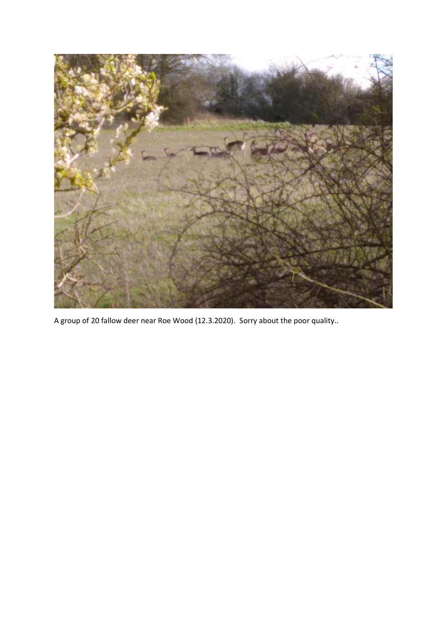

A group of 20 fallow deer near Roe Wood (12.3.2020). Sorry about the poor quality..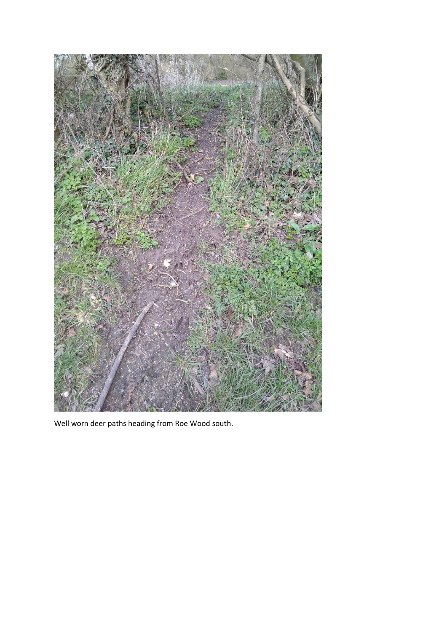

Well worn deer paths heading from Roe Wood south.